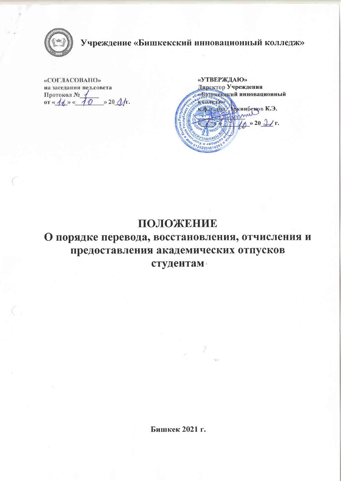

Учреждение «Бишкекский инновационный колледж»

«COLIACOBAHO» на заседании пед.совета Протокол № 1 or  $\kappa$  /  $\frac{1}{2}$  m  $\kappa$  /  $\frac{1}{2}$  m  $\kappa$  20  $\Delta$ /r.

«УТВЕРЖДАЮ» Директор Учреждения «Видитекский инновационный КОЛИСДЖЕ кар надещ. Дркинбеков К.Э. anne  $\sqrt{4} \times 20 \sqrt{1}$ r. *<u>GAHK</u>* N \* \* \* APA 0120220161026

## ПОЛОЖЕНИЕ

# О порядке перевода, восстановления, отчисления и предоставления академических отпусков студентам

Бишкек 2021 г.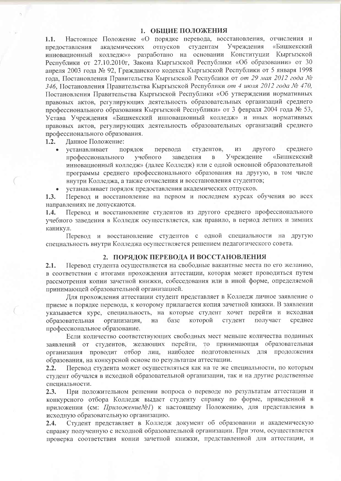#### 1. ОБЩИЕ ПОЛОЖЕНИЯ

Настоящее Положение «О порядке перевода, восстановления, отчисления и  $1.1.$ академических отпусков студентам Учреждения «Бишкекский предоставления колледж»» разработано на основании Конституции Кыргызской инновационный Республики от 27.10.2010г, Закона Кыргызской Республики «Об образовании» от 30 апреля 2003 года № 92, Гражданского кодекса Кыргызской Республики от 5 января 1998 года, Постановления Правительства Кыргызской Республики от от 29 мая 2012 года № 346. Постановления Правительства Кыргызской Республики от 4 июля 2012 года № 470, Постановления Правительства Кыргызской Республики «Об утверждении нормативных правовых актов, регулирующих деятельность образовательных организаций среднего профессионального образования Кыргызской Республики» от 3 февраля 2004 года № 53, Устава Учреждения «Бишкекский инновационный колледж» и иных нормативных правовых актов, регулирующих деятельность образовательных организаций среднего профессионального образования.

 $1.2.$ Данное Положение:

- другого среднего устанавливает порядок перевода студентов, **ИЗ** Учреждение «Бишкекский учебного заведения  $\overline{B}$ профессионального инновационный колледж» (далее Колледж) или с одной основной образовательной программы среднего профессионального образования на другую, в том числе внутри Колледжа, а также отчисления и восстановления студентов;
- устанавливает порядок предоставления академических отпусков.

Перевод и восстановление на первом и последнем курсах обучения во всех  $1.3.$ направлениях не допускаются.

Перевод и восстановление студентов из другого среднего профессионального  $1.4.$ учебного заведения в Колледж осуществляется, как правило, в период летних и зимних каникул.

Перевод и восстановление студентов с одной специальности на другую специальность внутри Колледжа осуществляется решением педагогического совета.

#### 2. ПОРЯДОК ПЕРЕВОДА И ВОССТАНОВЛЕНИЯ

Перевод студента осуществляется на свободные вакантные места по его желанию,  $2.1.$ в соответствии с итогами прохождения аттестации, которая может проводиться путем рассмотрения копии зачетной книжки, собеседования или в иной форме, определяемой принимающей образовательной организацией.

Для прохождения аттестации студент представляет в Колледж личное заявление о приеме в порядке перевода, к которому прилагается копия зачетной книжки. В заявлении указывается курс, специальность, на которые студент хочет перейти и исходная которой студент получает среднее образовательная организация, на базе профессиональное образование.

Если количество соответствующих свободных мест меньше количества поданных заявлений от студентов, желающих перейти, то принимающая образовательная организация проводит отбор лиц, наиболее подготовленных для продолжения образования, на конкурсной основе по результатам аттестации.

Перевод студента может осуществляться как на те же специальности, по которым  $2.2.$ студент обучался в исходной образовательной организации, так и на другие родственные специальности.

При положительном решении вопроса о переводе по результатам аттестации и  $2.3.$ конкурсного отбора Колледж выдает студенту справку по форме, приведенной в приложении (см: Приложение №1) к настоящему Положению, для представления в исходную образовательную организацию.

Студент представляет в Колледж документ об образовании и академическую  $2.4.$ справку полученную с исходной образовательной организации. При этом, осуществляется проверка соответствия копии зачетной книжки, представленной для аттестации, и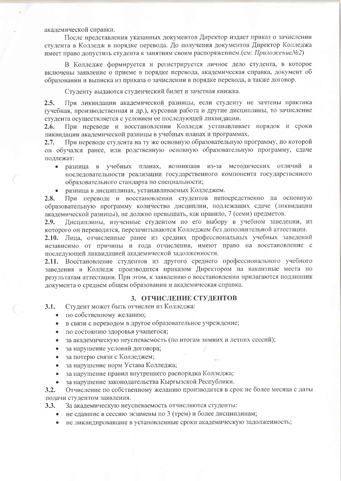академической справки.

После представления указанных документов Директор издает приказ о зачислении студента в Колледж в порядке перевода. До получения документов Директор Колледжа имеет право допустить студента к занятиям своим распоряжением. (см: Приложение №2)

В Колледже формируется и регистрируется личное дело студента, в которое включены заявление о приеме в порядке перевода, академическая справка, документ об образовании и выписка из приказа о зачислении в порядке перевода, а также договор.

Студенту выдаются студенческий билет и зачетная книжка.

 $2.5.$ При ликвидации академической разницы, если студенту не зачтены практика (учебная, производственная и др.), курсовая работа и другие дисциплины, то зачисление студента осуществляется с условием ее последующей ликвидации.

При переводе и восстановлении Колледж устанавливает порядок и сроки  $2.6.$ ликвидации академической разницы в учебных планах и программах.

При переводе студента на ту же основную образовательную программу, по которой  $2.7.$ он обучался ранее, или родственную основную образовательную программу, сдаче подлежат:

- разница в учебных планах, возникшая из-за методических отличий в последовательности реализации государственного компонента государственного образовательного стандарта по специальности;
- разница в дисциплинах, устанавливаемых Колледжем.

При переводе и восстановлении студентов непосредственно на основную  $2.8.$ образовательную программу количество дисциплин, подлежащих сдаче (ликвидации академической разницы), не должно превышать, как правило, 7 (семи) предметов.

Дисциплины, изученные студентом по его выбору в учебном заведении, из 2.9. которого он переводится, перезачитываются Колледжем без дополнительной аттестации.

2.10. Лица, отчисленные ранее из средних профессиональных учебных заведений независимо от причины и года отчисления, имеют право на восстановление с последующей ликвидацией академической задолженности.

2.11. Восстановление студентов из другого среднего профессионального учебного заведения в Колледж производится приказом Директором на вакантные места по результатам аттестации. При этом, к заявлению о восстановлении прилагаются подлинник документа о среднем общем образовании и академическая справка.

### 3. ОТЧИСЛЕНИЕ СТУДЕНТОВ

- $3.1.$ Студент может быть отчислен из Колледжа:
	- по собственному желанию;
	- в связи с переводом в другое образовательное учреждение;  $\bullet$
	- по состоянию здоровья учащегося;
	- за академическую неуспеваемость (по итогам зимних и летних сессий);
	- за нарушение условий договора;  $\bullet$
	- за потерю связи с Колледжем;  $\bullet$
	- за нарушение норм Устава Колледжа;
	- за нарушение правил внутреннего распорядка Колледжа;  $\bullet$
	- за нарушение законодательства Кыргызской Республики.

Отчисление по собственному желанию производится в срок не более месяца с даты  $3.2.$ подачи студентом заявления.

За академическую неуспеваемость отчисляются студенты:  $3.3.$ 

- не сдавшие в сессию экзамены по 3 (трем) и более дисциплинам;
- не ликвидировавшие в установленные сроки академическую задолженность;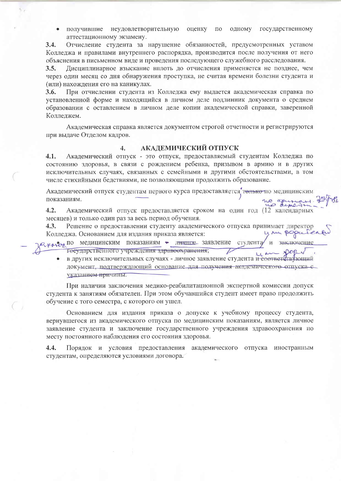получившие неудовлетворительную оценку одному государственному  $\Pi$ <sup>O</sup>  $\bullet$ аттестационному экзамену.

Отчисление студента за нарушение обязанностей, предусмотренных уставом  $3.4.$ Колледжа и правилами внутреннего распорядка, производится после получения от него объяснения в письменном виде и проведения последующего служебного расследования.

Дисциплинарное взыскание вплоть до отчисления применяется не позднее, чем  $3.5.$ через один месяц со дня обнаружения проступка, не считая времени болезни студента и (или) нахождения его на каникулах.

При отчислении студента из Колледжа ему выдается академическая справка по 3.6. установленной форме и находящийся в личном деле подлинник документа о среднем образовании с оставлением в личном деле копии академической справки, заверенной Колледжем.

Академическая справка является документом строгой отчетности и регистрируются при выдаче Отделом кадров.

#### $\overline{4}$ . АКАДЕМИЧЕСКИЙ ОТПУСК

Академический отпуск - это отпуск, предоставляемый студентам Колледжа по  $4.1.$ состоянию здоровья, в связи с рождением ребенка, призывом в армию и в других исключительных случаях, связанных с семейными и другими обстоятельствами, в том числе стихийными бедствиями, не позволяющими продолжить образование.

Академический отпуск студентам первого курса предоставляется телько по медицинским показаниям. is grupe.

 $4.2.$ Академический отпуск предоставляется сроком на один год (12 календарных месяцев) и только один раз за весь период обучения.

Решение о предоставлении студенту академического отпуска принимает директор 4.3. Колледжа. Основанием для издания приказа является:

ислужен по медицинским показаниям - личное заявление студента заключение  $\overline{M}$ государственного учреждения здравоохранения; u M

в других исключительных случаях - личное заявление студента и соответеть пощий  $\bullet$ документ, подтверждающий основание для получения академического отпуска с указанием причины.

При наличии заключения медико-реабилитационной экспертной комиссии допуск студента к занятиям обязателен. При этом обучавшийся студент имеет право продолжить обучение с того семестра, с которого он ушел.

Основанием для издания приказа о допуске к учебному процессу студента, вернувшегося из академического отпуска по медицинским показаниям, является личное заявление студента и заключение государственного учреждения здравоохранения по месту постоянного наблюдения его состояния здоровья.

 $4.4.$ Порядок и условия предоставления академического отпуска иностранным студентам, определяются условиями договора.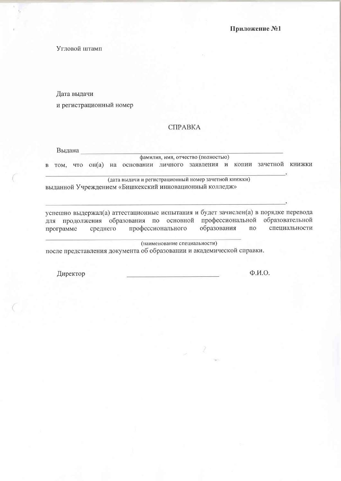Угловой штамп

Дата выдачи

и регистрационный номер

### СПРАВКА

Выдана

фамилия, имя, отчество (полностью) в том, что он(а) на основании личного заявления и копии зачетной книжки

(дата выдачи и регистрационный номер зачетной книжки) выданной Учреждением «Бишкекский инновационный колледж»

успешно выдержал(а) аттестационные испытания и будет зачислен(а) в порядке перевода для продолжения образования по основной профессиональной образовательной профессионального образования  $\overline{10}$ специальности среднего программе

(наименование специальности)

после представления документа об образовании и академической справки.

Директор

 $\Phi$   $H.\Omega$ .